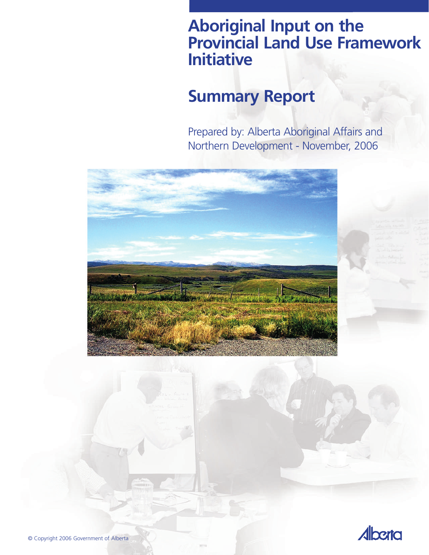### **Aboriginal Input on the Provincial Land Use Framework Initiative**

# **Summary Report**

Prepared by: Alberta Aboriginal Affairs and Northern Development - November, 2006





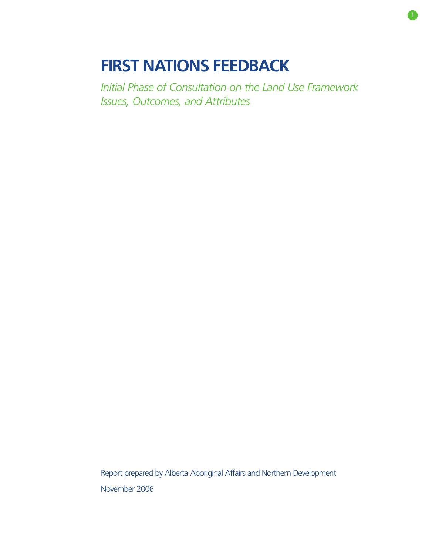# **FIRST NATIONS FEEDBACK**

*Initial Phase of Consultation on the Land Use Framework Issues, Outcomes, and Attributes*

Report prepared by Alberta Aboriginal Affairs and Northern Development November 2006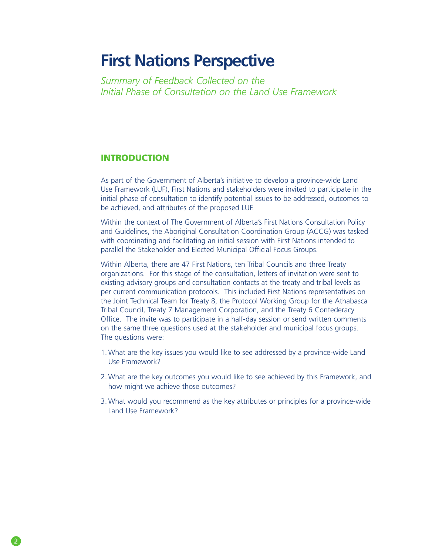### **First Nations Perspective**

*Summary of Feedback Collected on the Initial Phase of Consultation on the Land Use Framework* 

#### **INTRODUCTION**

As part of the Government of Alberta's initiative to develop a province-wide Land Use Framework (LUF), First Nations and stakeholders were invited to participate in the initial phase of consultation to identify potential issues to be addressed, outcomes to be achieved, and attributes of the proposed LUF.

Within the context of The Government of Alberta's First Nations Consultation Policy and Guidelines, the Aboriginal Consultation Coordination Group (ACCG) was tasked with coordinating and facilitating an initial session with First Nations intended to parallel the Stakeholder and Elected Municipal Official Focus Groups.

Within Alberta, there are 47 First Nations, ten Tribal Councils and three Treaty organizations. For this stage of the consultation, letters of invitation were sent to existing advisory groups and consultation contacts at the treaty and tribal levels as per current communication protocols. This included First Nations representatives on the Joint Technical Team for Treaty 8, the Protocol Working Group for the Athabasca Tribal Council, Treaty 7 Management Corporation, and the Treaty 6 Confederacy Office. The invite was to participate in a half-day session or send written comments on the same three questions used at the stakeholder and municipal focus groups. The questions were:

- 1. What are the key issues you would like to see addressed by a province-wide Land Use Framework?
- 2. What are the key outcomes you would like to see achieved by this Framework, and how might we achieve those outcomes?
- 3. What would you recommend as the key attributes or principles for a province-wide Land Use Framework?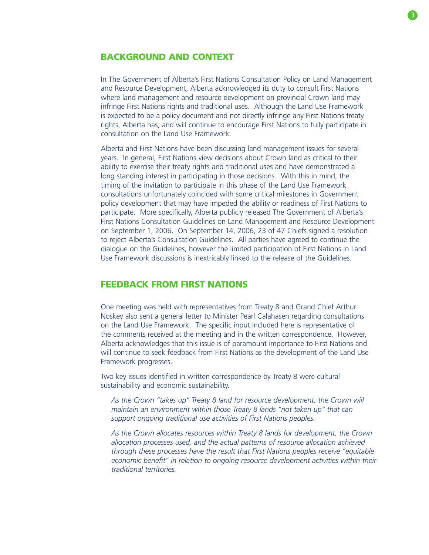#### BACKGROUND AND CONTEXT

In The Government of Alberta's First Nations Consultation Policy on Land Management and Resource Development, Alberta acknowledged its duty to consult First Nations where land management and resource development on provincial Crown land may infringe First Nations rights and traditional uses. Although the Land Use Framework is expected to be a policy document and not directly infringe any First Nations treaty rights, Alberta has, and will continue to encourage First Nations to fully participate in consultation on the Land Use Framework.

Alberta and First Nations have been discussing land management issues for several years. In general, First Nations view decisions about Crown land as critical to their ability to exercise their treaty rights and traditional uses and have demonstrated a long standing interest in participating in those decisions. With this in mind, the timing of the invitation to participate in this phase of the Land Use Framework consultations unfortunately coincided with some critical milestones in Government policy development that may have impeded the ability or readiness of First Nations to participate. More specifically, Alberta publicly released The Government of Alberta's First Nations Consultation Guidelines on Land Management and Resource Development on September 1, 2006. On September 14, 2006, 23 of 47 Chiefs signed a resolution to reject Alberta's Consultation Guidelines. All parties have agreed to continue the dialogue on the Guidelines, however the limited participation of First Nations in Land Use Framework discussions is inextricably linked to the release of the Guidelines.

#### FEEDBACK FROM FIRST NATIONS

One meeting was held with representatives from Treaty 8 and Grand Chief Arthur Noskey also sent a general letter to Minister Pearl Calahasen regarding consultations on the Land Use Framework. The specific input included here is representative of the comments received at the meeting and in the written correspondence. However, Alberta acknowledges that this issue is of paramount importance to First Nations and will continue to seek feedback from First Nations as the development of the Land Use Framework progresses.

Two key issues identified in written correspondence by Treaty 8 were cultural sustainability and economic sustainability.

*As the Crown "takes up" Treaty 8 land for resource development, the Crown will maintain an environment within those Treaty 8 lands "not taken up" that can support ongoing traditional use activities of First Nations peoples.*

*As the Crown allocates resources within Treaty 8 lands for development, the Crown allocation processes used, and the actual patterns of resource allocation achieved through these processes have the result that First Nations peoples receive "equitable economic benefit" in relation to ongoing resource development activities within their traditional territories.*